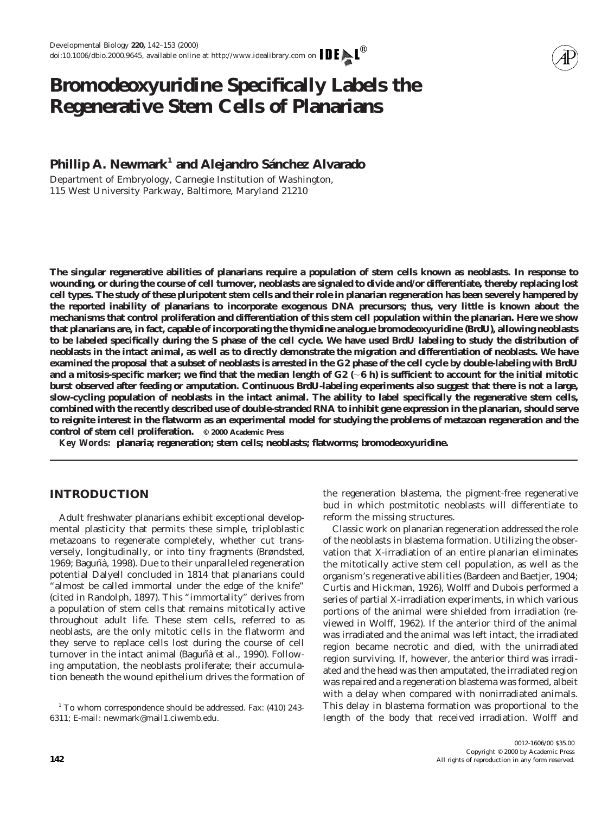# **Bromodeoxyuridine Specifically Labels the Regenerative Stem Cells of Planarians**

## **Phillip A. Newmark<sup>1</sup> and Alejandro Sánchez Alvarado**

*Department of Embryology, Carnegie Institution of Washington, 115 West University Parkway, Baltimore, Maryland 21210*

**The singular regenerative abilities of planarians require a population of stem cells known as neoblasts. In response to wounding, or during the course of cell turnover, neoblasts are signaled to divide and/or differentiate, thereby replacing lost cell types. The study of these pluripotent stem cells and their role in planarian regeneration has been severely hampered by the reported inability of planarians to incorporate exogenous DNA precursors; thus, very little is known about the mechanisms that control proliferation and differentiation of this stem cell population within the planarian. Here we show that planarians are, in fact, capable of incorporating the thymidine analogue bromodeoxyuridine (BrdU), allowing neoblasts to be labeled specifically during the S phase of the cell cycle. We have used BrdU labeling to study the distribution of neoblasts in the intact animal, as well as to directly demonstrate the migration and differentiation of neoblasts. We have examined the proposal that a subset of neoblasts is arrested in the G2 phase of the cell cycle by double-labeling with BrdU** and a mitosis-specific marker; we find that the median length of  $G2$  ( $\sim$ 6 h) is sufficient to account for the initial mitotic **burst observed after feeding or amputation. Continuous BrdU-labeling experiments also suggest that there is not a large, slow-cycling population of neoblasts in the intact animal. The ability to label specifically the regenerative stem cells, combined with the recently described use of double-stranded RNA to inhibit gene expression in the planarian, should serve to reignite interest in the flatworm as an experimental model for studying the problems of metazoan regeneration and the control of stem cell proliferation. © 2000 Academic Press**

*Key Words:* **planaria; regeneration; stem cells; neoblasts; flatworms; bromodeoxyuridine.**

## **INTRODUCTION**

Adult freshwater planarians exhibit exceptional developmental plasticity that permits these simple, triploblastic metazoans to regenerate completely, whether cut transversely, longitudinally, or into tiny fragments (Brøndsted, 1969; Baguñà, 1998). Due to their unparalleled regeneration potential Dalyell concluded in 1814 that planarians could almost be called immortal under the edge of the knife" (cited in Randolph, 1897). This "immortality" derives from a population of stem cells that remains mitotically active throughout adult life. These stem cells, referred to as neoblasts, are the only mitotic cells in the flatworm and they serve to replace cells lost during the course of cell turnover in the intact animal (Baguñà *et al.,* 1990). Following amputation, the neoblasts proliferate; their accumulation beneath the wound epithelium drives the formation of

<sup>1</sup> To whom correspondence should be addressed. Fax: (410) 243-6311; E-mail: newmark@mail1.ciwemb.edu.

the regeneration blastema, the pigment-free regenerative bud in which postmitotic neoblasts will differentiate to reform the missing structures.

Classic work on planarian regeneration addressed the role of the neoblasts in blastema formation. Utilizing the observation that X-irradiation of an entire planarian eliminates the mitotically active stem cell population, as well as the organism's regenerative abilities (Bardeen and Baetjer, 1904; Curtis and Hickman, 1926), Wolff and Dubois performed a series of partial X-irradiation experiments, in which various portions of the animal were shielded from irradiation (reviewed in Wolff, 1962). If the anterior third of the animal was irradiated and the animal was left intact, the irradiated region became necrotic and died, with the unirradiated region surviving. If, however, the anterior third was irradiated and the head was then amputated, the irradiated region was repaired and a regeneration blastema was formed, albeit with a delay when compared with nonirradiated animals. This delay in blastema formation was proportional to the length of the body that received irradiation. Wolff and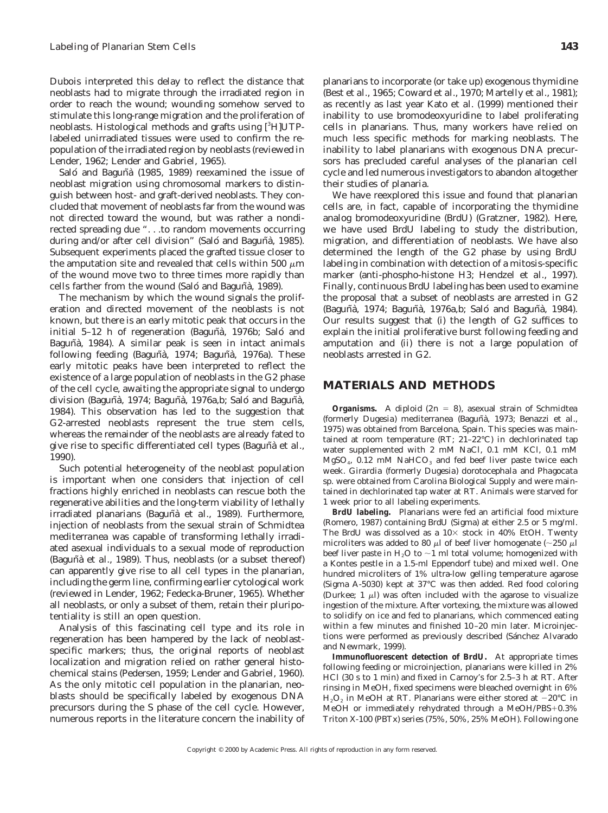Dubois interpreted this delay to reflect the distance that neoblasts had to migrate through the irradiated region in order to reach the wound; wounding somehow served to stimulate this long-range migration and the proliferation of neoblasts. Histological methods and grafts using [<sup>3</sup>H]UTPlabeled unirradiated tissues were used to confirm the repopulation of the irradiated region by neoblasts (reviewed in Lender, 1962; Lender and Gabriel, 1965).

Saló and Baguñà (1985, 1989) reexamined the issue of neoblast migration using chromosomal markers to distinguish between host- and graft-derived neoblasts. They concluded that movement of neoblasts far from the wound was not directed toward the wound, but was rather a nondirected spreading due ". . .to random movements occurring during and/or after cell division" (Saló and Baguñà, 1985). Subsequent experiments placed the grafted tissue closer to the amputation site and revealed that cells within 500  $\mu$ m of the wound move two to three times more rapidly than cells farther from the wound (Saló and Baguñà, 1989).

The mechanism by which the wound signals the proliferation and directed movement of the neoblasts is not known, but there is an early mitotic peak that occurs in the initial 5–12 h of regeneration (Baguñà, 1976b; Saló and Baguñà, 1984). A similar peak is seen in intact animals following feeding (Baguñà, 1974; Baguñà, 1976a). These early mitotic peaks have been interpreted to reflect the existence of a large population of neoblasts in the G2 phase of the cell cycle, awaiting the appropriate signal to undergo division (Baguñà, 1974; Baguñà, 1976a,b; Saló and Baguñà, 1984). This observation has led to the suggestion that G2-arrested neoblasts represent the true stem cells, whereas the remainder of the neoblasts are already fated to give rise to specific differentiated cell types (Baguñà et al., 1990).

Such potential heterogeneity of the neoblast population is important when one considers that injection of cell fractions highly enriched in neoblasts can rescue both the regenerative abilities and the long-term viability of lethally irradiated planarians (Baguñà et al., 1989). Furthermore, injection of neoblasts from the sexual strain of *Schmidtea mediterranea* was capable of transforming lethally irradiated asexual individuals to a sexual mode of reproduction (Baguñà *et al.,* 1989). Thus, neoblasts (or a subset thereof) can apparently give rise to all cell types in the planarian, including the germ line, confirming earlier cytological work (reviewed in Lender, 1962; Fedecka-Bruner, 1965). Whether all neoblasts, or only a subset of them, retain their pluripotentiality is still an open question.

Analysis of this fascinating cell type and its role in regeneration has been hampered by the lack of neoblastspecific markers; thus, the original reports of neoblast localization and migration relied on rather general histochemical stains (Pedersen, 1959; Lender and Gabriel, 1960). As the only mitotic cell population in the planarian, neoblasts should be specifically labeled by exogenous DNA precursors during the S phase of the cell cycle. However, numerous reports in the literature concern the inability of

planarians to incorporate (or take up) exogenous thymidine (Best *et al.,* 1965; Coward *et al.,* 1970; Martelly *et al.,* 1981); as recently as last year Kato *et al.* (1999) mentioned their inability to use bromodeoxyuridine to label proliferating cells in planarians. Thus, many workers have relied on much less specific methods for marking neoblasts. The inability to label planarians with exogenous DNA precursors has precluded careful analyses of the planarian cell cycle and led numerous investigators to abandon altogether their studies of planaria.

We have reexplored this issue and found that planarian cells are, in fact, capable of incorporating the thymidine analog bromodeoxyuridine (BrdU) (Gratzner, 1982). Here, we have used BrdU labeling to study the distribution, migration, and differentiation of neoblasts. We have also determined the length of the G2 phase by using BrdU labeling in combination with detection of a mitosis-specific marker (anti-phospho-histone H3; Hendzel *et al.,* 1997). Finally, continuous BrdU labeling has been used to examine the proposal that a subset of neoblasts are arrested in G2 (Baguñà, 1974; Baguñà, 1976a,b; Saló and Baguñà, 1984). Our results suggest that (i) the length of G2 suffices to explain the initial proliferative burst following feeding and amputation and (ii) there is not a large population of neoblasts arrested in G2.

## **MATERIALS AND METHODS**

*Organisms.* A diploid  $(2n = 8)$ , asexual strain of *Schmidtea* (formerly *Dugesia*) *mediterranea* (Baguñà, 1973; Benazzi et al., 1975) was obtained from Barcelona, Spain. This species was maintained at room temperature (RT; 21–22°C) in dechlorinated tap water supplemented with 2 mM NaCl, 0.1 mM KCl, 0.1 mM  $MgSO<sub>4</sub>$ , 0.12 mM NaHC $O<sub>3</sub>$  and fed beef liver paste twice each week. *Girardia* (formerly *Dugesia*) *dorotocephala* and *Phagocata sp.* were obtained from Carolina Biological Supply and were maintained in dechlorinated tap water at RT. Animals were starved for 1 week prior to all labeling experiments.

*BrdU labeling.* Planarians were fed an artificial food mixture (Romero, 1987) containing BrdU (Sigma) at either 2.5 or 5 mg/ml. The BrdU was dissolved as a  $10\times$  stock in 40% EtOH. Twenty microliters was added to 80  $\mu$ l of beef liver homogenate (~250  $\mu$ l beef liver paste in  $H_2O$  to  $\sim$ 1 ml total volume; homogenized with a Kontes pestle in a 1.5-ml Eppendorf tube) and mixed well. One hundred microliters of 1% ultra-low gelling temperature agarose (Sigma A-5030) kept at 37°C was then added. Red food coloring (Durkee;  $1 \mu l$ ) was often included with the agarose to visualize ingestion of the mixture. After vortexing, the mixture was allowed to solidify on ice and fed to planarians, which commenced eating within a few minutes and finished 10–20 min later. Microinjections were performed as previously described (Sánchez Alvarado and Newmark, 1999).

*Immunofluorescent detection of BrdU.* At appropriate times following feeding or microinjection, planarians were killed in 2% HCl (30 s to 1 min) and fixed in Carnoy's for 2.5–3 h at RT. After rinsing in MeOH, fixed specimens were bleached overnight in 6%  $H<sub>2</sub>O<sub>2</sub>$  in MeOH at RT. Planarians were either stored at  $-20^{\circ}$ C in MeOH or immediately rehydrated through a MeOH/PBS+ $0.3\%$ Triton X-100 (PBTx) series (75%, 50%, 25% MeOH). Following one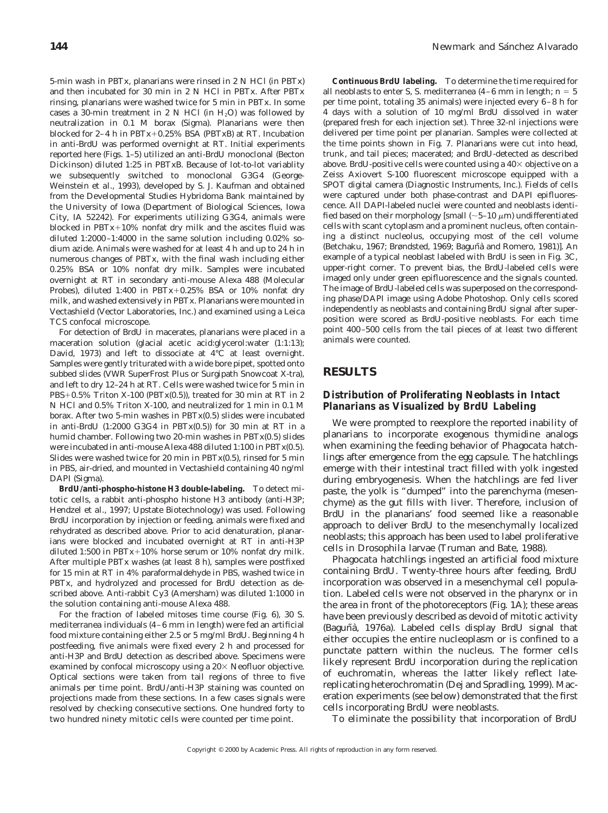5-min wash in PBTx, planarians were rinsed in 2 N HCl (in PBTx) and then incubated for 30 min in 2 N HCl in PBTx. After PBTx rinsing, planarians were washed twice for 5 min in PBTx. In some cases a 30-min treatment in 2 N HCl (in  $H_2O$ ) was followed by neutralization in 0.1 M borax (Sigma). Planarians were then blocked for  $2-4$  h in PBTx+0.25% BSA (PBTxB) at RT. Incubation in anti-BrdU was performed overnight at RT. Initial experiments reported here (Figs. 1–5) utilized an anti-BrdU monoclonal (Becton Dickinson) diluted 1:25 in PBTxB. Because of lot-to-lot variablity we subsequently switched to monoclonal G3G4 (George-Weinstein *et al.,* 1993), developed by S. J. Kaufman and obtained from the Developmental Studies Hybridoma Bank maintained by the University of Iowa (Department of Biological Sciences, Iowa City, IA 52242). For experiments utilizing G3G4, animals were blocked in  $\text{PBTx}+10\%$  nonfat dry milk and the ascites fluid was diluted 1:2000–1:4000 in the same solution including 0.02% sodium azide. Animals were washed for at least 4 h and up to 24 h in numerous changes of PBTx, with the final wash including either 0.25% BSA or 10% nonfat dry milk. Samples were incubated overnight at RT in secondary anti-mouse Alexa 488 (Molecular Probes), diluted 1:400 in  $PBTx+0.25\%$  BSA or 10% nonfat dry milk, and washed extensively in PBTx. Planarians were mounted in Vectashield (Vector Laboratories, Inc.) and examined using a Leica TCS confocal microscope.

For detection of BrdU in macerates, planarians were placed in a maceration solution (glacial acetic acid:glycerol:water (1:1:13); David, 1973) and left to dissociate at  $4^{\circ}$ C at least overnight. Samples were gently triturated with a wide bore pipet, spotted onto subbed slides (VWR SuperFrost Plus or Surgipath Snowcoat X-tra), and left to dry 12–24 h at RT. Cells were washed twice for 5 min in  $PBS+0.5\%$  Triton X-100 (PBTx(0.5)), treated for 30 min at RT in 2 N HCl and 0.5% Triton X-100, and neutralized for 1 min in 0.1 M borax. After two 5-min washes in PBTx(0.5) slides were incubated in anti-BrdU (1:2000 G3G4 in PBTx(0.5)) for 30 min at RT in a humid chamber. Following two 20-min washes in PBTx(0.5) slides were incubated in anti-mouse Alexa 488 diluted 1:100 in PBTx(0.5). Slides were washed twice for 20 min in PBTx(0.5), rinsed for 5 min in PBS, air-dried, and mounted in Vectashield containing 40 ng/ml DAPI (Sigma).

*BrdU/anti-phospho-histone H3 double-labeling.* To detect mitotic cells, a rabbit anti-phospho histone H3 antibody (anti-H3P; Hendzel *et al.,* 1997; Upstate Biotechnology) was used. Following BrdU incorporation by injection or feeding, animals were fixed and rehydrated as described above. Prior to acid denaturation, planarians were blocked and incubated overnight at RT in anti-H3P diluted 1:500 in PBTx+10% horse serum or 10% nonfat dry milk. After multiple PBTx washes (at least 8 h), samples were postfixed for 15 min at RT in 4% paraformaldehyde in PBS, washed twice in PBTx, and hydrolyzed and processed for BrdU detection as described above. Anti-rabbit Cy3 (Amersham) was diluted 1:1000 in the solution containing anti-mouse Alexa 488.

For the fraction of labeled mitoses time course (Fig. 6), 30 *S. mediterranea* individuals (4–6 mm in length) were fed an artificial food mixture containing either 2.5 or 5 mg/ml BrdU. Beginning 4 h postfeeding, five animals were fixed every 2 h and processed for anti-H3P and BrdU detection as described above. Specimens were examined by confocal microscopy using a  $20\times$  Neofluor objective. Optical sections were taken from tail regions of three to five animals per time point. BrdU/anti-H3P staining was counted on projections made from these sections. In a few cases signals were resolved by checking consecutive sections. One hundred forty to two hundred ninety mitotic cells were counted per time point.

*Continuous BrdU labeling.* To determine the time required for all neoblasts to enter S, *S. mediterranea*  $(4-6$  mm in length;  $n = 5$ per time point, totaling 35 animals) were injected every 6–8 h for 4 days with a solution of 10 mg/ml BrdU dissolved in water (prepared fresh for each injection set). Three 32-nl injections were delivered per time point per planarian. Samples were collected at the time points shown in Fig. 7. Planarians were cut into head, trunk, and tail pieces; macerated; and BrdU-detected as described above. BrdU-positive cells were counted using a  $40\times$  objective on a Zeiss Axiovert S-100 fluorescent microscope equipped with a SPOT digital camera (Diagnostic Instruments, Inc.). Fields of cells were captured under both phase-contrast and DAPI epifluorescence. All DAPI-labeled nuclei were counted and neoblasts identified based on their morphology [small ( $\sim$ 5–10  $\mu$ m) undifferentiated cells with scant cytoplasm and a prominent nucleus, often containing a distinct nucleolus, occupying most of the cell volume (Betchaku, 1967; Brøndsted, 1969; Baguñà and Romero, 1981)]. An example of a typical neoblast labeled with BrdU is seen in Fig. 3C, upper-right corner. To prevent bias, the BrdU-labeled cells were imaged only under green epifluorescence and the signals counted. The image of BrdU-labeled cells was superposed on the corresponding phase/DAPI image using Adobe Photoshop. Only cells scored independently as neoblasts and containing BrdU signal after superposition were scored as BrdU-positive neoblasts. For each time point 400–500 cells from the tail pieces of at least two different animals were counted.

## **RESULTS**

#### *Distribution of Proliferating Neoblasts in Intact Planarians as Visualized by BrdU Labeling*

We were prompted to reexplore the reported inability of planarians to incorporate exogenous thymidine analogs when examining the feeding behavior of *Phagocata* hatchlings after emergence from the egg capsule. The hatchlings emerge with their intestinal tract filled with yolk ingested during embryogenesis. When the hatchlings are fed liver paste, the yolk is "dumped" into the parenchyma (mesenchyme) as the gut fills with liver. Therefore, inclusion of BrdU in the planarians' food seemed like a reasonable approach to deliver BrdU to the mesenchymally localized neoblasts; this approach has been used to label proliferative cells in *Drosophila* larvae (Truman and Bate, 1988).

*Phagocata* hatchlings ingested an artificial food mixture containing BrdU. Twenty-three hours after feeding, BrdU incorporation was observed in a mesenchymal cell population. Labeled cells were not observed in the pharynx or in the area in front of the photoreceptors (Fig. 1A); these areas have been previously described as devoid of mitotic activity (Baguñà, 1976a). Labeled cells display BrdU signal that either occupies the entire nucleoplasm or is confined to a punctate pattern within the nucleus. The former cells likely represent BrdU incorporation during the replication of euchromatin, whereas the latter likely reflect latereplicating heterochromatin (Dej and Spradling, 1999). Maceration experiments (see below) demonstrated that the first cells incorporating BrdU were neoblasts.

To eliminate the possibility that incorporation of BrdU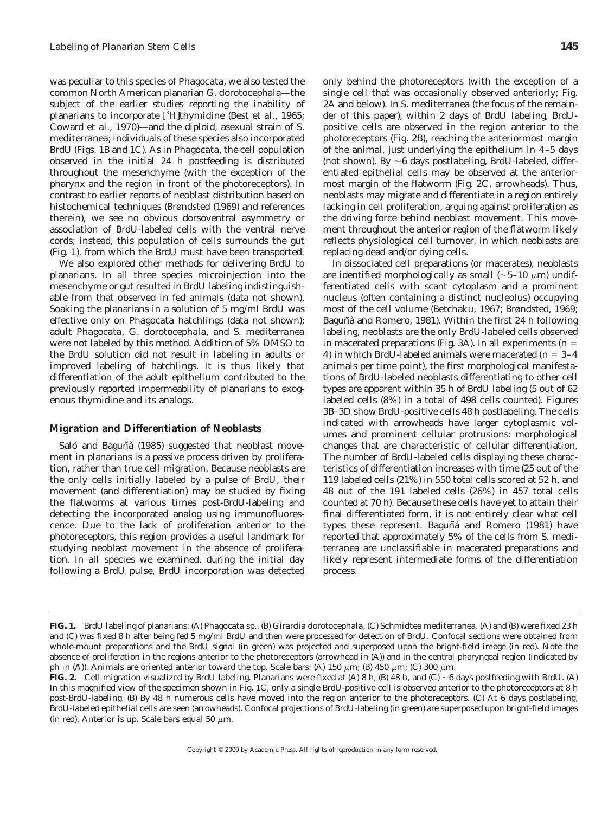was peculiar to this species of *Phagocata,* we also tested the common North American planarian *G. dorotocephala*—the subject of the earlier studies reporting the inability of planarians to incorporate [<sup>3</sup>H]thymidine (Best *et al.*, 1965; Coward *et al.,* 1970)—and the diploid, asexual strain of *S. mediterranea;* individuals of these species also incorporated BrdU (Figs. 1B and 1C). As in *Phagocata,* the cell population observed in the initial 24 h postfeeding is distributed throughout the mesenchyme (with the exception of the pharynx and the region in front of the photoreceptors). In contrast to earlier reports of neoblast distribution based on histochemical techniques (Brøndsted (1969) and references therein), we see no obvious dorsoventral asymmetry or association of BrdU-labeled cells with the ventral nerve cords; instead, this population of cells surrounds the gut (Fig. 1), from which the BrdU must have been transported.

We also explored other methods for delivering BrdU to planarians. In all three species microinjection into the mesenchyme or gut resulted in BrdU labeling indistinguishable from that observed in fed animals (data not shown). Soaking the planarians in a solution of 5 mg/ml BrdU was effective only on *Phagocata* hatchlings (data not shown); adult *Phagocata, G. dorotocephala,* and *S. mediterranea* were not labeled by this method. Addition of 5% DMSO to the BrdU solution did not result in labeling in adults or improved labeling of hatchlings. It is thus likely that differentiation of the adult epithelium contributed to the previously reported impermeability of planarians to exogenous thymidine and its analogs.

#### *Migration and Differentiation of Neoblasts*

Saló and Baguñà (1985) suggested that neoblast movement in planarians is a passive process driven by proliferation, rather than true cell migration. Because neoblasts are the only cells initially labeled by a pulse of BrdU, their movement (and differentiation) may be studied by fixing the flatworms at various times post-BrdU-labeling and detecting the incorporated analog using immunofluorescence. Due to the lack of proliferation anterior to the photoreceptors, this region provides a useful landmark for studying neoblast movement in the absence of proliferation. In all species we examined, during the initial day following a BrdU pulse, BrdU incorporation was detected only behind the photoreceptors (with the exception of a single cell that was occasionally observed anteriorly; Fig. 2A and below). In *S. mediterranea* (the focus of the remainder of this paper), within 2 days of BrdU labeling, BrdUpositive cells are observed in the region anterior to the photoreceptors (Fig. 2B), reaching the anteriormost margin of the animal, just underlying the epithelium in 4–5 days (not shown). By  $\sim$ 6 days postlabeling, BrdU-labeled, differentiated epithelial cells may be observed at the anteriormost margin of the flatworm (Fig. 2C, arrowheads). Thus, neoblasts may migrate and differentiate in a region entirely lacking in cell proliferation, arguing against proliferation as the driving force behind neoblast movement. This movement throughout the anterior region of the flatworm likely reflects physiological cell turnover, in which neoblasts are replacing dead and/or dying cells.

In dissociated cell preparations (or macerates), neoblasts are identified morphologically as small ( $\sim$ 5–10  $\mu$ m) undifferentiated cells with scant cytoplasm and a prominent nucleus (often containing a distinct nucleolus) occupying most of the cell volume (Betchaku, 1967; Brøndsted, 1969; Baguñà and Romero, 1981). Within the first 24 h following labeling, neoblasts are the only BrdU-labeled cells observed in macerated preparations (Fig. 3A). In all experiments ( $n =$ 4) in which BrdU-labeled animals were macerated  $(n = 3-4)$ animals per time point), the first morphological manifestations of BrdU-labeled neoblasts differentiating to other cell types are apparent within 35 h of BrdU labeling (5 out of 62 labeled cells (8%) in a total of 498 cells counted). Figures 3B–3D show BrdU-positive cells 48 h postlabeling. The cells indicated with arrowheads have larger cytoplasmic volumes and prominent cellular protrusions: morphological changes that are characteristic of cellular differentiation. The number of BrdU-labeled cells displaying these characteristics of differentiation increases with time (25 out of the 119 labeled cells (21%) in 550 total cells scored at 52 h, and 48 out of the 191 labeled cells (26%) in 457 total cells counted at 70 h). Because these cells have yet to attain their final differentiated form, it is not entirely clear what cell types these represent. Baguñà and Romero (1981) have reported that approximately 5% of the cells from *S. mediterranea* are unclassifiable in macerated preparations and likely represent intermediate forms of the differentiation process.

**FIG. 1.** BrdU labeling of planarians: (A) *Phagocata sp.,* (B) *Girardia dorotocephala,* (C) *Schmidtea mediterranea.* (A) and (B) were fixed 23 h and (C) was fixed 8 h after being fed 5 mg/ml BrdU and then were processed for detection of BrdU. Confocal sections were obtained from whole-mount preparations and the BrdU signal (in green) was projected and superposed upon the bright-field image (in red). Note the absence of proliferation in the regions anterior to the photoreceptors (arrowhead in (A)) and in the central pharyngeal region (indicated by ph in (A)). Animals are oriented anterior toward the top. Scale bars: (A) 150  $\mu$ m; (B) 450  $\mu$ m; (C) 300  $\mu$ m.

**FIG. 2.** Cell migration visualized by BrdU labeling. Planarians were fixed at (A) 8 h, (B) 48 h, and (C)  $\sim$  6 days postfeeding with BrdU. (A) In this magnified view of the specimen shown in Fig. 1C, only a single BrdU-positive cell is observed anterior to the photoreceptors at 8 h post-BrdU-labeling. (B) By 48 h numerous cells have moved into the region anterior to the photoreceptors. (C) At 6 days postlabeling, BrdU-labeled epithelial cells are seen (arrowheads). Confocal projections of BrdU-labeling (in green) are superposed upon bright-field images (in red). Anterior is up. Scale bars equal 50  $\mu$ m.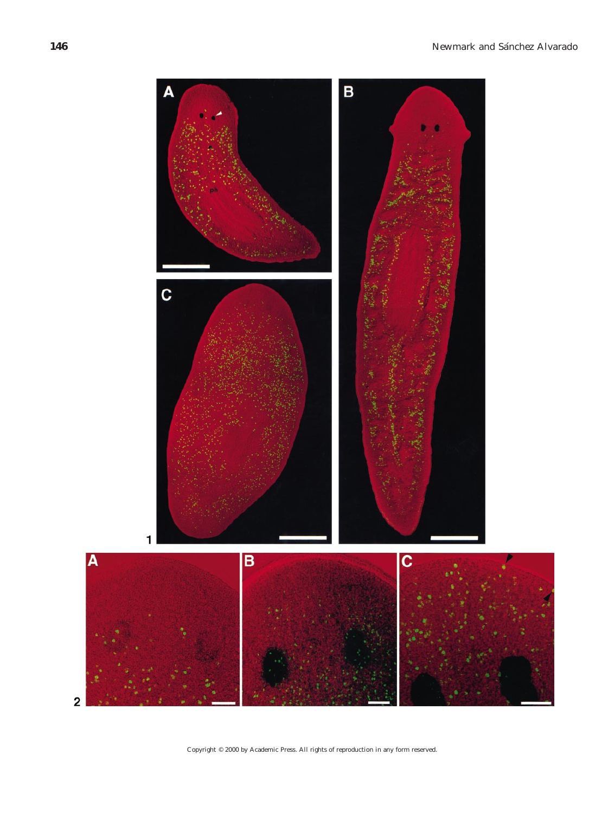

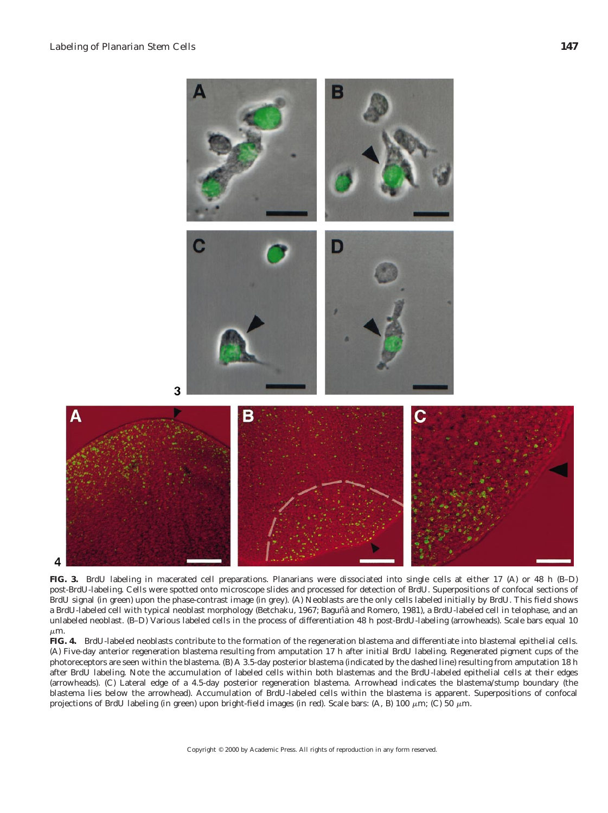4



**FIG. 3.** BrdU labeling in macerated cell preparations. Planarians were dissociated into single cells at either 17 (A) or 48 h (B–D) post-BrdU-labeling. Cells were spotted onto microscope slides and processed for detection of BrdU. Superpositions of confocal sections of BrdU signal (in green) upon the phase-contrast image (in grey). (A) Neoblasts are the only cells labeled initially by BrdU. This field shows a BrdU-labeled cell with typical neoblast morphology (Betchaku, 1967; Baguñà and Romero, 1981), a BrdU-labeled cell in telophase, and an unlabeled neoblast. (B–D) Various labeled cells in the process of differentiation 48 h post-BrdU-labeling (arrowheads). Scale bars equal 10  $\mu$ m.

**FIG. 4.** BrdU-labeled neoblasts contribute to the formation of the regeneration blastema and differentiate into blastemal epithelial cells. (A) Five-day anterior regeneration blastema resulting from amputation 17 h after initial BrdU labeling. Regenerated pigment cups of the photoreceptors are seen within the blastema. (B) A 3.5-day posterior blastema (indicated by the dashed line) resulting from amputation 18 h after BrdU labeling. Note the accumulation of labeled cells within both blastemas and the BrdU-labeled epithelial cells at their edges (arrowheads). (C) Lateral edge of a 4.5-day posterior regeneration blastema. Arrowhead indicates the blastema/stump boundary (the blastema lies below the arrowhead). Accumulation of BrdU-labeled cells within the blastema is apparent. Superpositions of confocal projections of BrdU labeling (in green) upon bright-field images (in red). Scale bars: (A, B) 100  $\mu$ m; (C) 50  $\mu$ m.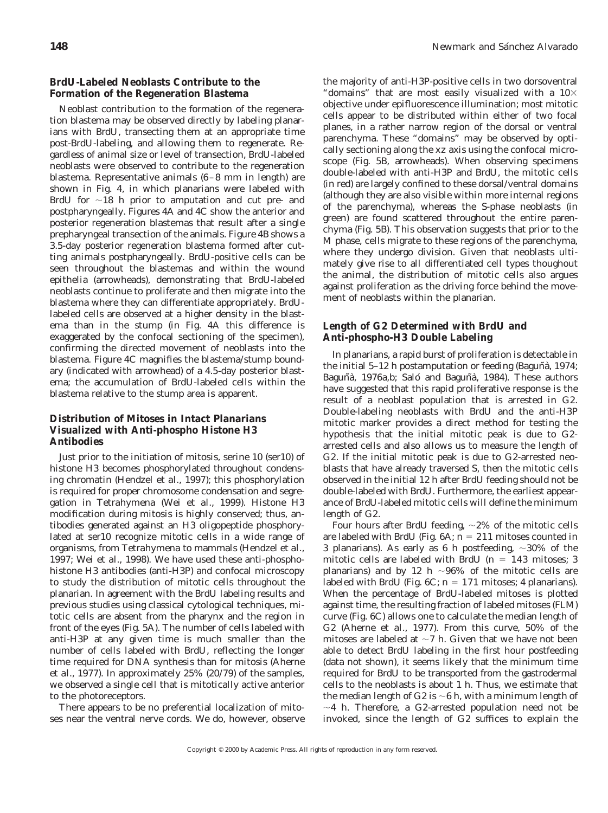#### *BrdU-Labeled Neoblasts Contribute to the Formation of the Regeneration Blastema*

Neoblast contribution to the formation of the regeneration blastema may be observed directly by labeling planarians with BrdU, transecting them at an appropriate time post-BrdU-labeling, and allowing them to regenerate. Regardless of animal size or level of transection, BrdU-labeled neoblasts were observed to contribute to the regeneration blastema. Representative animals (6–8 mm in length) are shown in Fig. 4, in which planarians were labeled with BrdU for  $\sim$ 18 h prior to amputation and cut pre- and postpharyngeally. Figures 4A and 4C show the anterior and posterior regeneration blastemas that result after a single prepharyngeal transection of the animals. Figure 4B shows a 3.5-day posterior regeneration blastema formed after cutting animals postpharyngeally. BrdU-positive cells can be seen throughout the blastemas and within the wound epithelia (arrowheads), demonstrating that BrdU-labeled neoblasts continue to proliferate and then migrate into the blastema where they can differentiate appropriately. BrdUlabeled cells are observed at a higher density in the blastema than in the stump (in Fig. 4A this difference is exaggerated by the confocal sectioning of the specimen), confirming the directed movement of neoblasts into the blastema. Figure 4C magnifies the blastema/stump boundary (indicated with arrowhead) of a 4.5-day posterior blastema; the accumulation of BrdU-labeled cells within the blastema relative to the stump area is apparent.

## *Distribution of Mitoses in Intact Planarians Visualized with Anti-phospho Histone H3 Antibodies*

Just prior to the initiation of mitosis, serine 10 (ser10) of histone H3 becomes phosphorylated throughout condensing chromatin (Hendzel *et al.,* 1997); this phosphorylation is required for proper chromosome condensation and segregation in *Tetrahymena* (Wei *et al.,* 1999). Histone H3 modification during mitosis is highly conserved; thus, antibodies generated against an H3 oligopeptide phosphorylated at ser10 recognize mitotic cells in a wide range of organisms, from *Tetrahymena* to mammals (Hendzel *et al.,* 1997; Wei *et al.,* 1998). We have used these anti-phosphohistone H3 antibodies (anti-H3P) and confocal microscopy to study the distribution of mitotic cells throughout the planarian. In agreement with the BrdU labeling results and previous studies using classical cytological techniques, mitotic cells are absent from the pharynx and the region in front of the eyes (Fig. 5A). The number of cells labeled with anti-H3P at any given time is much smaller than the number of cells labeled with BrdU, reflecting the longer time required for DNA synthesis than for mitosis (Aherne *et al.,* 1977). In approximately 25% (20/79) of the samples, we observed a single cell that is mitotically active anterior to the photoreceptors.

There appears to be no preferential localization of mitoses near the ventral nerve cords. We do, however, observe

the majority of anti-H3P-positive cells in two dorsoventral "domains" that are most easily visualized with a  $10\times$ objective under epifluorescence illumination; most mitotic cells appear to be distributed within either of two focal planes, in a rather narrow region of the dorsal or ventral parenchyma. These "domains" may be observed by optically sectioning along the *xz* axis using the confocal microscope (Fig. 5B, arrowheads). When observing specimens double-labeled with anti-H3P and BrdU, the mitotic cells (in red) are largely confined to these dorsal/ventral domains (although they are also visible within more internal regions of the parenchyma), whereas the S-phase neoblasts (in green) are found scattered throughout the entire parenchyma (Fig. 5B). This observation suggests that prior to the M phase, cells migrate to these regions of the parenchyma, where they undergo division. Given that neoblasts ultimately give rise to all differentiated cell types thoughout the animal, the distribution of mitotic cells also argues against proliferation as the driving force behind the movement of neoblasts within the planarian.

## *Length of G2 Determined with BrdU and Anti-phospho-H3 Double Labeling*

In planarians, a rapid burst of proliferation is detectable in the initial  $5-12$  h postamputation or feeding (Baguñà, 1974; Baguñà, 1976a,b; Saló and Baguñà, 1984). These authors have suggested that this rapid proliferative response is the result of a neoblast population that is arrested in G2. Double-labeling neoblasts with BrdU and the anti-H3P mitotic marker provides a direct method for testing the hypothesis that the initial mitotic peak is due to G2 arrested cells and also allows us to measure the length of G2. If the initial mitotic peak is due to G2-arrested neoblasts that have already traversed S, then the mitotic cells observed in the initial 12 h after BrdU feeding should not be double-labeled with BrdU. Furthermore, the earliest appearance of BrdU-labeled mitotic cells will define the minimum length of G2.

Four hours after BrdU feeding,  $\sim$ 2% of the mitotic cells are labeled with BrdU (Fig.  $6A$ ;  $n = 211$  mitoses counted in 3 planarians). As early as 6 h postfeeding,  $\sim$ 30% of the mitotic cells are labeled with BrdU ( $n = 143$  mitoses; 3 planarians) and by 12 h  $\sim$ 96% of the mitotic cells are labeled with BrdU (Fig.  $6C$ ;  $n = 171$  mitoses; 4 planarians). When the percentage of BrdU-labeled mitoses is plotted against time, the resulting fraction of labeled mitoses (FLM) curve (Fig. 6C) allows one to calculate the median length of G2 (Aherne *et al.,* 1977). From this curve, 50% of the mitoses are labeled at  $\sim$ 7 h. Given that we have not been able to detect BrdU labeling in the first hour postfeeding (data not shown), it seems likely that the minimum time required for BrdU to be transported from the gastrodermal cells to the neoblasts is about 1 h. Thus, we estimate that the median length of G2 is  $\sim$ 6 h, with a minimum length of  $\sim$ 4 h. Therefore, a G2-arrested population need not be invoked, since the length of G2 suffices to explain the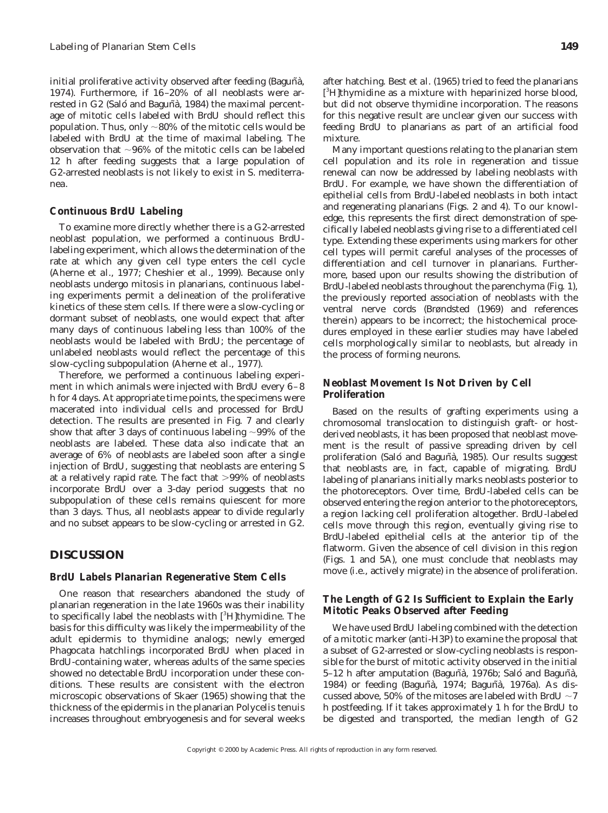initial proliferative activity observed after feeding (Baguñà, 1974). Furthermore, if 16–20% of all neoblasts were arrested in G2 (Saló and Baguñà, 1984) the maximal percentage of mitotic cells labeled with BrdU should reflect this population. Thus, only  $\sim$ 80% of the mitotic cells would be labeled with BrdU at the time of maximal labeling. The observation that  $\sim$ 96% of the mitotic cells can be labeled 12 h after feeding suggests that a large population of G2-arrested neoblasts is not likely to exist in *S. mediterranea.*

#### *Continuous BrdU Labeling*

To examine more directly whether there is a G2-arrested neoblast population, we performed a continuous BrdUlabeling experiment, which allows the determination of the rate at which any given cell type enters the cell cycle (Aherne *et al.,* 1977; Cheshier *et al.,* 1999). Because only neoblasts undergo mitosis in planarians, continuous labeling experiments permit a delineation of the proliferative kinetics of these stem cells. If there were a slow-cycling or dormant subset of neoblasts, one would expect that after many days of continuous labeling less than 100% of the neoblasts would be labeled with BrdU; the percentage of unlabeled neoblasts would reflect the percentage of this slow-cycling subpopulation (Aherne *et al.,* 1977).

Therefore, we performed a continuous labeling experiment in which animals were injected with BrdU every 6–8 h for 4 days. At appropriate time points, the specimens were macerated into individual cells and processed for BrdU detection. The results are presented in Fig. 7 and clearly show that after 3 days of continuous labeling  $\sim$ 99% of the neoblasts are labeled. These data also indicate that an average of 6% of neoblasts are labeled soon after a single injection of BrdU, suggesting that neoblasts are entering S at a relatively rapid rate. The fact that  $>99\%$  of neoblasts incorporate BrdU over a 3-day period suggests that no subpopulation of these cells remains quiescent for more than 3 days. Thus, all neoblasts appear to divide regularly and no subset appears to be slow-cycling or arrested in G2.

## **DISCUSSION**

#### *BrdU Labels Planarian Regenerative Stem Cells*

One reason that researchers abandoned the study of planarian regeneration in the late 1960s was their inability to specifically label the neoblasts with [3H]thymidine. The basis for this difficulty was likely the impermeability of the adult epidermis to thymidine analogs; newly emerged *Phagocata* hatchlings incorporated BrdU when placed in BrdU-containing water, whereas adults of the same species showed no detectable BrdU incorporation under these conditions. These results are consistent with the electron microscopic observations of Skaer (1965) showing that the thickness of the epidermis in the planarian *Polycelis tenuis* increases throughout embryogenesis and for several weeks

Many important questions relating to the planarian stem cell population and its role in regeneration and tissue renewal can now be addressed by labeling neoblasts with BrdU. For example, we have shown the differentiation of epithelial cells from BrdU-labeled neoblasts in both intact and regenerating planarians (Figs. 2 and 4). To our knowledge, this represents the first direct demonstration of specifically labeled neoblasts giving rise to a differentiated cell type. Extending these experiments using markers for other cell types will permit careful analyses of the processes of differentiation and cell turnover in planarians. Furthermore, based upon our results showing the distribution of BrdU-labeled neoblasts throughout the parenchyma (Fig. 1), the previously reported association of neoblasts with the ventral nerve cords (Brøndsted (1969) and references therein) appears to be incorrect; the histochemical procedures employed in these earlier studies may have labeled cells morphologically similar to neoblasts, but already in the process of forming neurons.

## *Neoblast Movement Is Not Driven by Cell Proliferation*

Based on the results of grafting experiments using a chromosomal translocation to distinguish graft- or hostderived neoblasts, it has been proposed that neoblast movement is the result of passive spreading driven by cell proliferation (Saló and Baguñà, 1985). Our results suggest that neoblasts are, in fact, capable of migrating. BrdU labeling of planarians initially marks neoblasts posterior to the photoreceptors. Over time, BrdU-labeled cells can be observed entering the region anterior to the photoreceptors, a region lacking cell proliferation altogether. BrdU-labeled cells move through this region, eventually giving rise to BrdU-labeled epithelial cells at the anterior tip of the flatworm. Given the absence of cell division in this region (Figs. 1 and 5A), one must conclude that neoblasts may move (i.e., actively migrate) in the absence of proliferation.

#### *The Length of G2 Is Sufficient to Explain the Early Mitotic Peaks Observed after Feeding*

We have used BrdU labeling combined with the detection of a mitotic marker (anti-H3P) to examine the proposal that a subset of G2-arrested or slow-cycling neoblasts is responsible for the burst of mitotic activity observed in the initial 5–12 h after amputation (Baguñà, 1976b; Saló and Baguñà, 1984) or feeding (Baguñà, 1974; Baguñà, 1976a). As discussed above, 50% of the mitoses are labeled with BrdU  $\sim$ 7 h postfeeding. If it takes approximately 1 h for the BrdU to be digested and transported, the median length of G2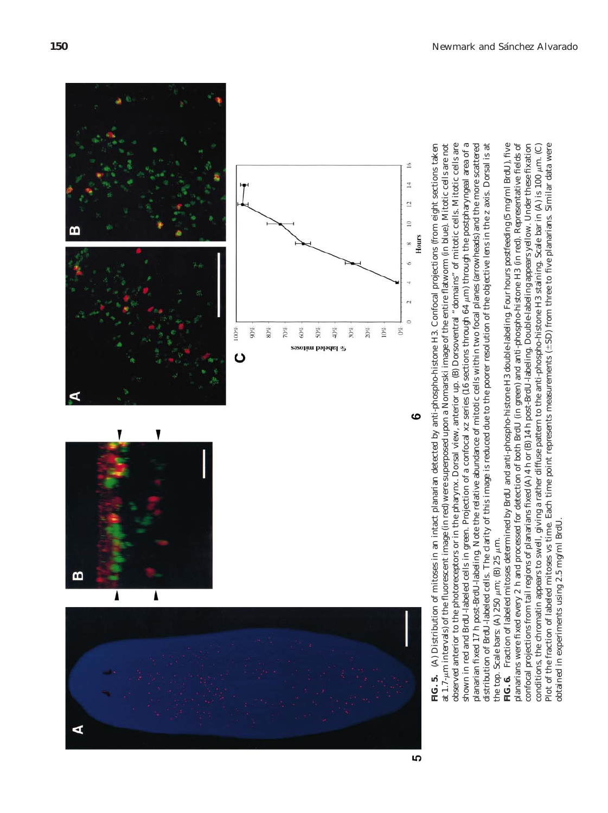





observed anterior to the photoreceptors or in the pharynx. Dorsal view, anterior up. (B) Dorsoventral "domains" of mitotic cells. Mitotic cells are shown in red and BrdU-labeled cells in green. Projection of a confocal xz series (16 sections through 64 µm) through the postpharyngeal area of a (A) Distribution of mitoses in an intact planarian detected by anti-phospho-histone H3. Confocal projections (from eight sections taken at 1.7- $\mu$ m intervals) of the fluorescent image (in red) were superposed upon a Nomarski image of the entire flatworm (in blue). Mitotic cells are not observed anterior to the photoreceptors or in the pharynx. Dorsal view, anterior up. (B) Dorsoventral "domains" of mitotic cells. Mitotic cells are mm) through the postpharyngeal area of a planarian fixed 17 h post-BrdU-labeling. Note the relative abundance of mitotic cells within two focal planes (arrowheads) and the more scattered planarian fixed 17 h post-BrdU-labeling. Note the relative abundance of mitotic cells within two focal planes (arrowheads) and the more scattered distribution of BrdU-labeled cells. The clarity of this image is reduced due to the poorer resolution of the objective lens in the z axis. Dorsal is at **FIG. 5.** (A) Distribution of mitoses in an intact planarian detected by anti-phospho-histone H3. Confocal projections (from eight sections taken mm intervals) of the fluorescent image (in red) were superposed upon a Nomarski image of the entire flatworm (in blue). Mitotic cells are not distribution of BrdU-labeled cells. The clarity of this image is reduced due to the poorer resolution of the objective lens in the *z* axis. Dorsal is at shown in red and BrdU-labeled cells in green. Projection of a confocal *xz* series (16 sections through 64 the top. Scale bars: (A)  $250 \mu m$ ; (B)  $25 \mu m$ . mm; (B) 25 the top. Scale bars: (A) 250

planarians were fixed every 2 h and processed for detection of both BrdU (in green) and anti-phospho-histone H3 (in red). Representative fields of confocal projections from tail regions of planarians fixed (A) 4 h or (B) 14 h post-BrdU-labeling. Double-labeling appears yellow. Under these fixation FIG. 6. Fraction of labeled mitoses determined by BrdU and anti-phospho-histone H3 double-labeling. Four hours postfeeding (5 mg/ml BrdU), five **FIG. 6.** Fraction of labeled mitoses determined by BrdU and anti-phospho-histone H3 double-labeling. Four hours postfeeding (5 mg/ml BrdU), five planarians were fixed every 2 h and processed for detection of both BrdU (in green) and anti-phospho-histone H3 (in red). Representative fields of conditions, the chromatin appears to swell, giving a rather diffuse pattern to the anti-phospho-histone H3 staining. Scale bar in (A) is 100  $\mu$ m. (C) Plot of the fraction of labeled mitoses vs time. Each time point represents measurements  $(\pm SD)$  from three to five planarians. Similar data were confocal projections from tail regions of planarians fixed (A) 4 h or (B) 14 h post-BrdU-labeling. Double-labeling appears yellow. Under these fixation  $\pm$ SD) from three to five planarians. Similar data were conditions, the chromatin appears to swell, giving a rather diffuse pattern to the anti-phospho-histone H3 staining. Scale bar in (A) is 100 Plot of the fraction of labeled mitoses vs time. Each time point represents measurements ( obtained in experiments using 2.5 mg/ml BrdU. obtained in experiments using 2.5 mg/ml BrdU.

5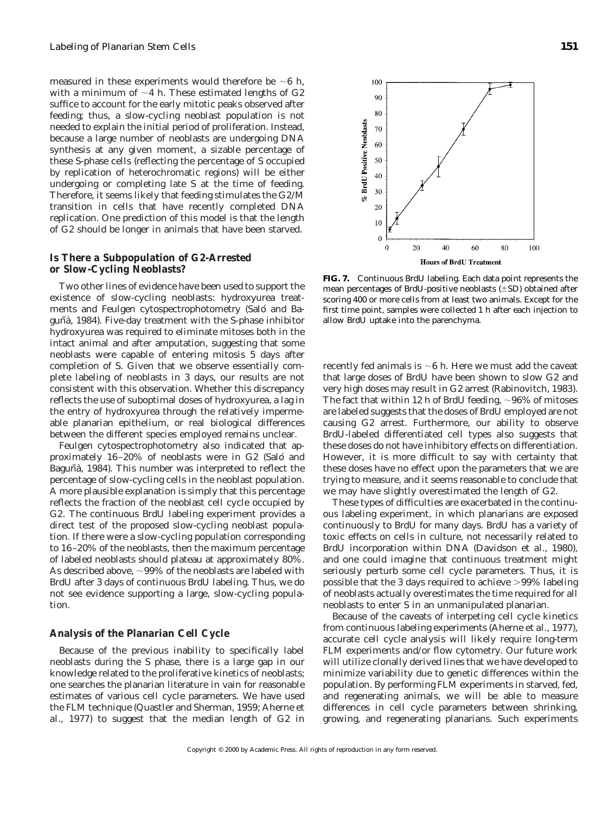measured in these experiments would therefore be  $\sim$ 6 h, with a minimum of  $\sim$ 4 h. These estimated lengths of G2 suffice to account for the early mitotic peaks observed after feeding; thus, a slow-cycling neoblast population is not needed to explain the initial period of proliferation. Instead, because a large number of neoblasts are undergoing DNA synthesis at any given moment, a sizable percentage of these S-phase cells (reflecting the percentage of S occupied by replication of heterochromatic regions) will be either undergoing or completing late S at the time of feeding. Therefore, it seems likely that feeding stimulates the G2/M transition in cells that have recently completed DNA replication. One prediction of this model is that the length of G2 should be longer in animals that have been starved.

#### *Is There a Subpopulation of G2-Arrested or Slow-Cycling Neoblasts?*

Two other lines of evidence have been used to support the existence of slow-cycling neoblasts: hydroxyurea treatments and Feulgen cytospectrophotometry (Saló and Baguñà, 1984). Five-day treatment with the S-phase inhibitor hydroxyurea was required to eliminate mitoses both in the intact animal and after amputation, suggesting that some neoblasts were capable of entering mitosis 5 days after completion of S. Given that we observe essentially complete labeling of neoblasts in 3 days, our results are not consistent with this observation. Whether this discrepancy reflects the use of suboptimal doses of hydroxyurea, a lag in the entry of hydroxyurea through the relatively impermeable planarian epithelium, or real biological differences between the different species employed remains unclear.

Feulgen cytospectrophotometry also indicated that approximately 16–20% of neoblasts were in G2 (Saló and Baguñà, 1984). This number was interpreted to reflect the percentage of slow-cycling cells in the neoblast population. A more plausible explanation is simply that this percentage reflects the fraction of the neoblast cell cycle occupied by G2. The continuous BrdU labeling experiment provides a direct test of the proposed slow-cycling neoblast population. If there were a slow-cycling population corresponding to 16–20% of the neoblasts, then the maximum percentage of labeled neoblasts should plateau at approximately 80%. As described above,  $\sim$ 99% of the neoblasts are labeled with BrdU after 3 days of continuous BrdU labeling. Thus, we do not see evidence supporting a large, slow-cycling population.

#### *Analysis of the Planarian Cell Cycle*

Because of the previous inability to specifically label neoblasts during the S phase, there is a large gap in our knowledge related to the proliferative kinetics of neoblasts; one searches the planarian literature in vain for reasonable estimates of various cell cycle parameters. We have used the FLM technique (Quastler and Sherman, 1959; Aherne *et al.,* 1977) to suggest that the median length of G2 in



**FIG. 7.** Continuous BrdU labeling. Each data point represents the mean percentages of BrdU-positive neoblasts  $(\pm SD)$  obtained after scoring 400 or more cells from at least two animals. Except for the first time point, samples were collected 1 h after each injection to allow BrdU uptake into the parenchyma.

recently fed animals is  $\sim$ 6 h. Here we must add the caveat that large doses of BrdU have been shown to slow G2 and very high doses may result in G2 arrest (Rabinovitch, 1983). The fact that within 12 h of BrdU feeding,  $\sim$ 96% of mitoses are labeled suggests that the doses of BrdU employed are not causing G2 arrest. Furthermore, our ability to observe BrdU-labeled differentiated cell types also suggests that these doses do not have inhibitory effects on differentiation. However, it is more difficult to say with certainty that these doses have no effect upon the parameters that we are trying to measure, and it seems reasonable to conclude that we may have slightly overestimated the length of G2.

These types of difficulties are exacerbated in the continuous labeling experiment, in which planarians are exposed continuously to BrdU for many days. BrdU has a variety of toxic effects on cells in culture, not necessarily related to BrdU incorporation within DNA (Davidson *et al.,* 1980), and one could imagine that continuous treatment might seriously perturb some cell cycle parameters. Thus, it is possible that the 3 days required to achieve  $>99\%$  labeling of neoblasts actually overestimates the time required for all neoblasts to enter S in an unmanipulated planarian.

Because of the caveats of interpeting cell cycle kinetics from continuous labeling experiments (Aherne *et al.,* 1977), accurate cell cycle analysis will likely require long-term FLM experiments and/or flow cytometry. Our future work will utilize clonally derived lines that we have developed to minimize variability due to genetic differences within the population. By performing FLM experiments in starved, fed, and regenerating animals, we will be able to measure differences in cell cycle parameters between shrinking, growing, and regenerating planarians. Such experiments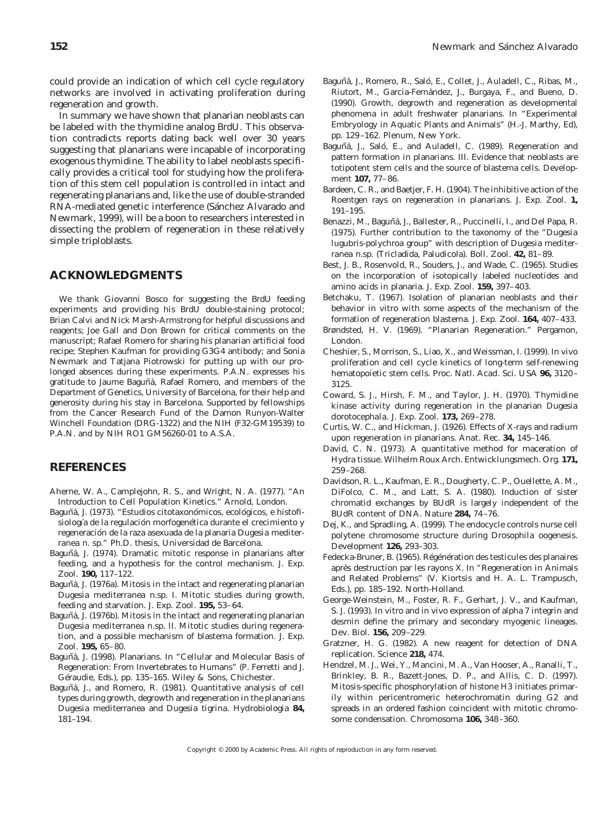could provide an indication of which cell cycle regulatory networks are involved in activating proliferation during regeneration and growth.

In summary we have shown that planarian neoblasts can be labeled with the thymidine analog BrdU. This observation contradicts reports dating back well over 30 years suggesting that planarians were incapable of incorporating exogenous thymidine. The ability to label neoblasts specifically provides a critical tool for studying how the proliferation of this stem cell population is controlled in intact and regenerating planarians and, like the use of double-stranded RNA-mediated genetic interference (Sánchez Alvarado and Newmark, 1999), will be a boon to researchers interested in dissecting the problem of regeneration in these relatively simple triploblasts.

## **ACKNOWLEDGMENTS**

We thank Giovanni Bosco for suggesting the BrdU feeding experiments and providing his BrdU double-staining protocol; Brian Calvi and Nick Marsh-Armstrong for helpful discussions and reagents; Joe Gall and Don Brown for critical comments on the manuscript; Rafael Romero for sharing his planarian artificial food recipe; Stephen Kaufman for providing G3G4 antibody; and Sonia Newmark and Tatjana Piotrowski for putting up with our prolonged absences during these experiments. P.A.N. expresses his gratitude to Jaume Baguñà, Rafael Romero, and members of the Department of Genetics, University of Barcelona, for their help and generosity during his stay in Barcelona. Supported by fellowships from the Cancer Research Fund of the Damon Runyon-Walter Winchell Foundation (DRG-1322) and the NIH (F32-GM19539) to P.A.N. and by NIH RO1 GM56260-01 to A.S.A.

## **REFERENCES**

- Aherne, W. A., Camplejohn, R. S., and Wright, N. A. (1977). "An Introduction to Cell Population Kinetics." Arnold, London.
- Baguñà, J. (1973). "Estudios citotaxonómicos, ecológicos, e histofisiología de la regulación morfogenética durante el crecimiento y regeneracio´n de la raza asexuada de la planaria *Dugesia mediterranea* n. sp." Ph.D. thesis, Universidad de Barcelona.
- Baguñà, J. (1974). Dramatic mitotic response in planarians after feeding, and a hypothesis for the control mechanism. *J. Exp. Zool.* **190,** 117–122.
- Baguñà, J. (1976a). Mitosis in the intact and regenerating planarian *Dugesia mediterranea* n.sp. I. Mitotic studies during growth, feeding and starvation. *J. Exp. Zool.* **195,** 53–64.
- Baguñà, J. (1976b). Mitosis in the intact and regenerating planarian *Dugesia mediterranea* n.sp. II. Mitotic studies during regeneration, and a possible mechanism of blastema formation. *J. Exp. Zool.* **195,** 65–80.
- Baguñà, J. (1998). Planarians. In "Cellular and Molecular Basis of Regeneration: From Invertebrates to Humans" (P. Ferretti and J. Géraudie, Eds.), pp. 135-165. Wiley & Sons, Chichester.
- Baguñà, J., and Romero, R. (1981). Quantitative analysis of cell types during growth, degrowth and regeneration in the planarians *Dugesia mediterranea* and *Dugesia tigrina. Hydrobiologia* **84,** 181–194.
- Baguñà, J., Romero, R., Saló, E., Collet, J., Auladell, C., Ribas, M., Riutort, M., Garcia-Ferna`ndez, J., Burgaya, F., and Bueno, D. (1990). Growth, degrowth and regeneration as developmental phenomena in adult freshwater planarians. In "Experimental Embryology in Aquatic Plants and Animals" (H.-J. Marthy, Ed), pp. 129–162. Plenum, New York.
- Baguñà, J., Saló, E., and Auladell, C. (1989). Regeneration and pattern formation in planarians. III. Evidence that neoblasts are totipotent stem cells and the source of blastema cells. *Development* **107,** 77–86.
- Bardeen, C. R., and Baetjer, F. H. (1904). The inhibitive action of the Roentgen rays on regeneration in planarians. *J. Exp. Zool.* **1,** 191–195.
- Benazzi, M., Baguñà, J., Ballester, R., Puccinelli, I., and Del Papa, R. (1975). Further contribution to the taxonomy of the "*Dugesia lugubris-polychroa* group" with description of *Dugesia mediterranea* n.sp. (Tricladida, Paludicola). *Boll. Zool.* **42,** 81–89.
- Best, J. B., Rosenvold, R., Souders, J., and Wade, C. (1965). Studies on the incorporation of isotopically labeled nucleotides and amino acids in planaria. *J. Exp. Zool.* **159,** 397–403.
- Betchaku, T. (1967). Isolation of planarian neoblasts and their behavior in vitro with some aspects of the mechanism of the formation of regeneration blastema. *J. Exp. Zool.* **164,** 407–433.
- Brøndsted, H. V. (1969). "Planarian Regeneration." Pergamon, London.
- Cheshier, S., Morrison, S., Liao, X., and Weissman, I. (1999). In vivo proliferation and cell cycle kinetics of long-term self-renewing hematopoietic stem cells. *Proc. Natl. Acad. Sci. USA* **96,** 3120– 3125.
- Coward, S. J., Hirsh, F. M., and Taylor, J. H. (1970). Thymidine kinase activity during regeneration in the planarian *Dugesia dorotocephala. J. Exp. Zool.* **173,** 269–278.
- Curtis, W. C., and Hickman, J. (1926). Effects of X-rays and radium upon regeneration in planarians. *Anat. Rec.* **34,** 145–146.
- David, C. N. (1973). A quantitative method for maceration of *Hydra* tissue. *Wilhelm Roux Arch. Entwicklungsmech. Org.* **171,** 259–268.
- Davidson, R. L., Kaufman, E. R., Dougherty, C. P., Ouellette, A. M., DiFolco, C. M., and Latt, S. A. (1980). Induction of sister chromatid exchanges by BUdR is largely independent of the BUdR content of DNA. *Nature* **284,** 74–76.
- Dej, K., and Spradling, A. (1999). The endocycle controls nurse cell polytene chromosome structure during *Drosophila* oogenesis. *Development* **126,** 293–303.
- Fedecka-Bruner, B. (1965). Régénération des testicules des planaires après destruction par les rayons X. In "Regeneration in Animals and Related Problems" (V. Kiortsis and H. A. L. Trampusch, Eds.), pp. 185–192. North-Holland.
- George-Weinstein, M., Foster, R. F., Gerhart, J. V., and Kaufman, S. J. (1993). In vitro and in vivo expression of alpha 7 integrin and desmin define the primary and secondary myogenic lineages. *Dev. Biol.* **156,** 209–229.
- Gratzner, H. G. (1982). A new reagent for detection of DNA replication. *Science* **218,** 474.
- Hendzel, M. J., Wei, Y., Mancini, M. A., Van Hooser, A., Ranalli, T., Brinkley, B. R., Bazett-Jones, D. P., and Allis, C. D. (1997). Mitosis-specific phosphorylation of histone H3 initiates primarily within pericentromeric heterochromatin during G2 and spreads in an ordered fashion coincident with mitotic chromosome condensation. *Chromosoma* **106,** 348–360.